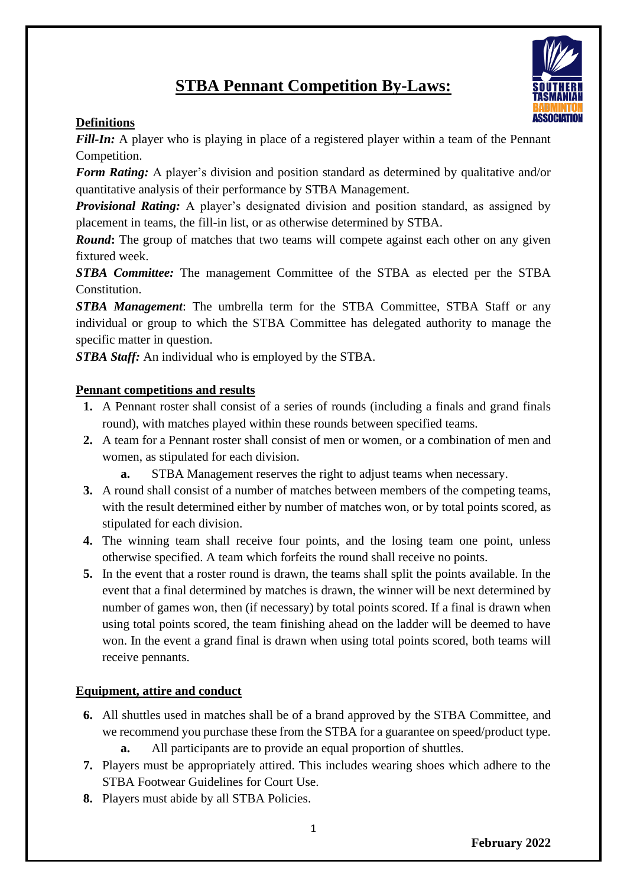# **STBA Pennant Competition By-Laws:**



*Fill-In:* A player who is playing in place of a registered player within a team of the Pennant Competition.

*Form Rating:* A player's division and position standard as determined by qualitative and/or quantitative analysis of their performance by STBA Management.

*Provisional Rating:* A player's designated division and position standard, as assigned by placement in teams, the fill-in list, or as otherwise determined by STBA.

*Round*: The group of matches that two teams will compete against each other on any given fixtured week.

*STBA Committee:* The management Committee of the STBA as elected per the STBA Constitution.

*STBA Management*: The umbrella term for the STBA Committee, STBA Staff or any individual or group to which the STBA Committee has delegated authority to manage the specific matter in question.

*STBA Staff:* An individual who is employed by the STBA.

#### **Pennant competitions and results**

- **1.** A Pennant roster shall consist of a series of rounds (including a finals and grand finals round), with matches played within these rounds between specified teams.
- **2.** A team for a Pennant roster shall consist of men or women, or a combination of men and women, as stipulated for each division.
	- **a.** STBA Management reserves the right to adjust teams when necessary.
- **3.** A round shall consist of a number of matches between members of the competing teams, with the result determined either by number of matches won, or by total points scored, as stipulated for each division.
- **4.** The winning team shall receive four points, and the losing team one point, unless otherwise specified. A team which forfeits the round shall receive no points.
- **5.** In the event that a roster round is drawn, the teams shall split the points available. In the event that a final determined by matches is drawn, the winner will be next determined by number of games won, then (if necessary) by total points scored. If a final is drawn when using total points scored, the team finishing ahead on the ladder will be deemed to have won. In the event a grand final is drawn when using total points scored, both teams will receive pennants.

# **Equipment, attire and conduct**

- **6.** All shuttles used in matches shall be of a brand approved by the STBA Committee, and we recommend you purchase these from the STBA for a guarantee on speed/product type.
	- **a.** All participants are to provide an equal proportion of shuttles.
- **7.** Players must be appropriately attired. This includes wearing shoes which adhere to the STBA Footwear Guidelines for Court Use.
- **8.** Players must abide by all STBA Policies.

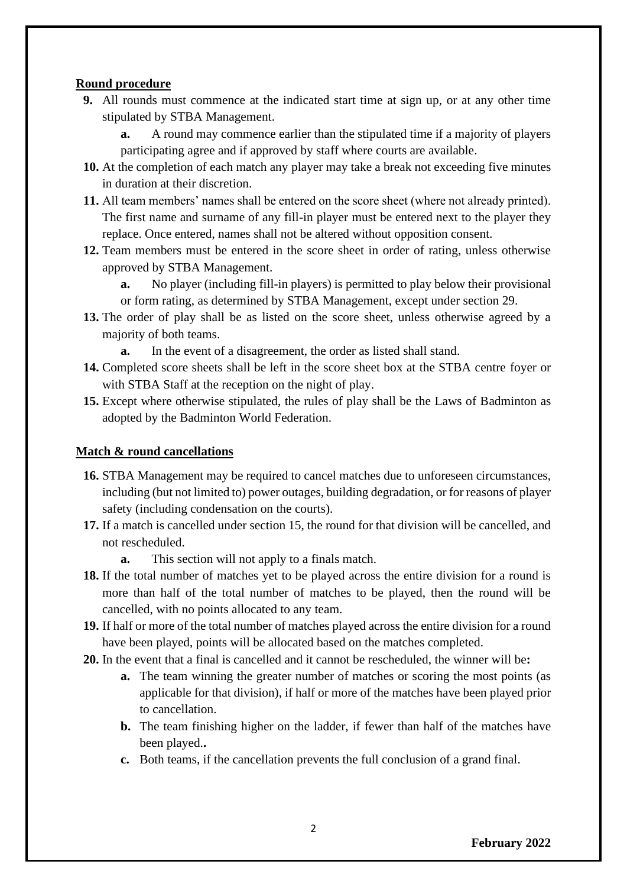#### **Round procedure**

- **9.** All rounds must commence at the indicated start time at sign up, or at any other time stipulated by STBA Management.
	- **a.** A round may commence earlier than the stipulated time if a majority of players participating agree and if approved by staff where courts are available.
- **10.** At the completion of each match any player may take a break not exceeding five minutes in duration at their discretion.
- **11.** All team members' names shall be entered on the score sheet (where not already printed). The first name and surname of any fill-in player must be entered next to the player they replace. Once entered, names shall not be altered without opposition consent.
- **12.** Team members must be entered in the score sheet in order of rating, unless otherwise approved by STBA Management.

**a.** No player (including fill-in players) is permitted to play below their provisional or form rating, as determined by STBA Management, except under section 29.

**13.** The order of play shall be as listed on the score sheet, unless otherwise agreed by a majority of both teams.

**a.** In the event of a disagreement, the order as listed shall stand.

- **14.** Completed score sheets shall be left in the score sheet box at the STBA centre foyer or with STBA Staff at the reception on the night of play.
- **15.** Except where otherwise stipulated, the rules of play shall be the Laws of Badminton as adopted by the Badminton World Federation.

# **Match & round cancellations**

- **16.** STBA Management may be required to cancel matches due to unforeseen circumstances, including (but not limited to) power outages, building degradation, or for reasons of player safety (including condensation on the courts).
- **17.** If a match is cancelled under section 15, the round for that division will be cancelled, and not rescheduled.
	- **a.** This section will not apply to a finals match.
- **18.** If the total number of matches yet to be played across the entire division for a round is more than half of the total number of matches to be played, then the round will be cancelled, with no points allocated to any team.
- **19.** If half or more of the total number of matches played across the entire division for a round have been played, points will be allocated based on the matches completed.
- **20.** In the event that a final is cancelled and it cannot be rescheduled, the winner will be**:**
	- **a.** The team winning the greater number of matches or scoring the most points (as applicable for that division), if half or more of the matches have been played prior to cancellation.
	- **b.** The team finishing higher on the ladder, if fewer than half of the matches have been played.**.**
	- **c.** Both teams, if the cancellation prevents the full conclusion of a grand final.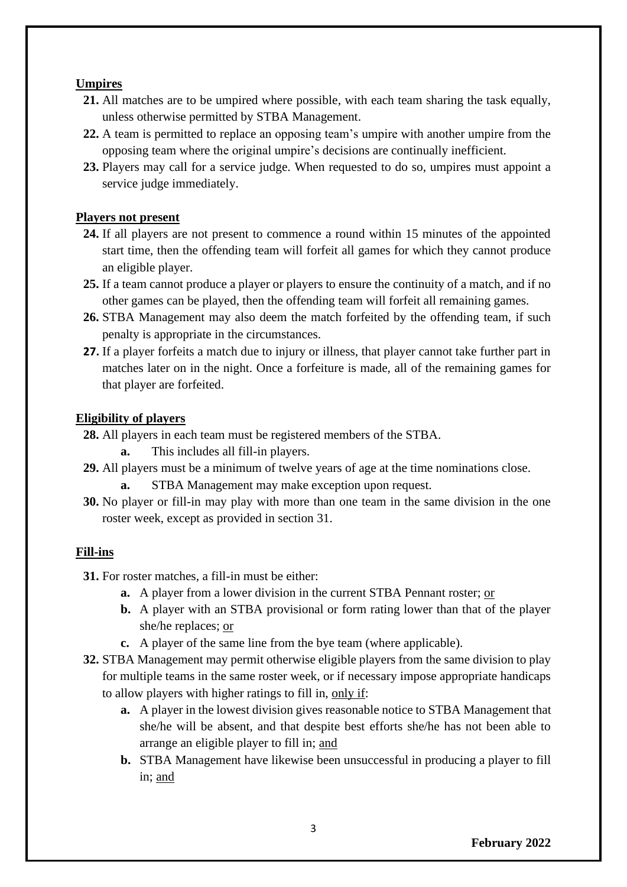#### **Umpires**

- **21.** All matches are to be umpired where possible, with each team sharing the task equally, unless otherwise permitted by STBA Management.
- **22.** A team is permitted to replace an opposing team's umpire with another umpire from the opposing team where the original umpire's decisions are continually inefficient.
- **23.** Players may call for a service judge. When requested to do so, umpires must appoint a service judge immediately.

### **Players not present**

- **24.** If all players are not present to commence a round within 15 minutes of the appointed start time, then the offending team will forfeit all games for which they cannot produce an eligible player.
- **25.** If a team cannot produce a player or players to ensure the continuity of a match, and if no other games can be played, then the offending team will forfeit all remaining games.
- **26.** STBA Management may also deem the match forfeited by the offending team, if such penalty is appropriate in the circumstances.
- **27.** If a player forfeits a match due to injury or illness, that player cannot take further part in matches later on in the night. Once a forfeiture is made, all of the remaining games for that player are forfeited.

### **Eligibility of players**

- **28.** All players in each team must be registered members of the STBA.
	- **a.** This includes all fill-in players.
- **29.** All players must be a minimum of twelve years of age at the time nominations close.
	- **a.** STBA Management may make exception upon request.
- **30.** No player or fill-in may play with more than one team in the same division in the one roster week, except as provided in section 31.

#### **Fill-ins**

- **31.** For roster matches, a fill-in must be either:
	- **a.** A player from a lower division in the current STBA Pennant roster; or
	- **b.** A player with an STBA provisional or form rating lower than that of the player she/he replaces; or
	- **c.** A player of the same line from the bye team (where applicable).
- **32.** STBA Management may permit otherwise eligible players from the same division to play for multiple teams in the same roster week, or if necessary impose appropriate handicaps to allow players with higher ratings to fill in, only if:
	- **a.** A player in the lowest division gives reasonable notice to STBA Management that she/he will be absent, and that despite best efforts she/he has not been able to arrange an eligible player to fill in; and
	- **b.** STBA Management have likewise been unsuccessful in producing a player to fill in; and